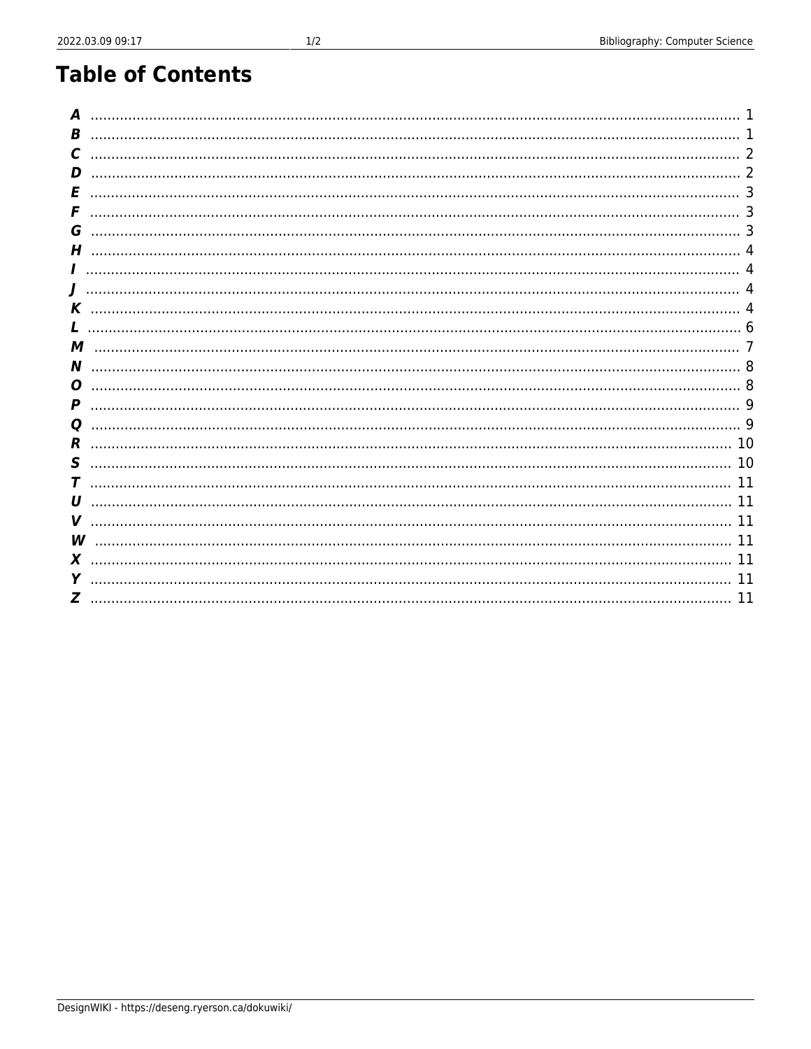# **Table of Contents**

| B |     |    |
|---|-----|----|
| C |     |    |
| D |     |    |
| Ε |     |    |
| F |     |    |
| G |     |    |
| H |     |    |
|   |     |    |
|   |     |    |
| K |     |    |
|   |     |    |
| M |     |    |
| N |     |    |
| O |     |    |
| P |     |    |
| O | . 9 |    |
| R |     | 10 |
| S |     |    |
|   |     | 11 |
| U |     |    |
|   |     |    |
| W |     | 11 |
| X |     | 11 |
|   | -11 |    |
|   |     |    |
|   |     |    |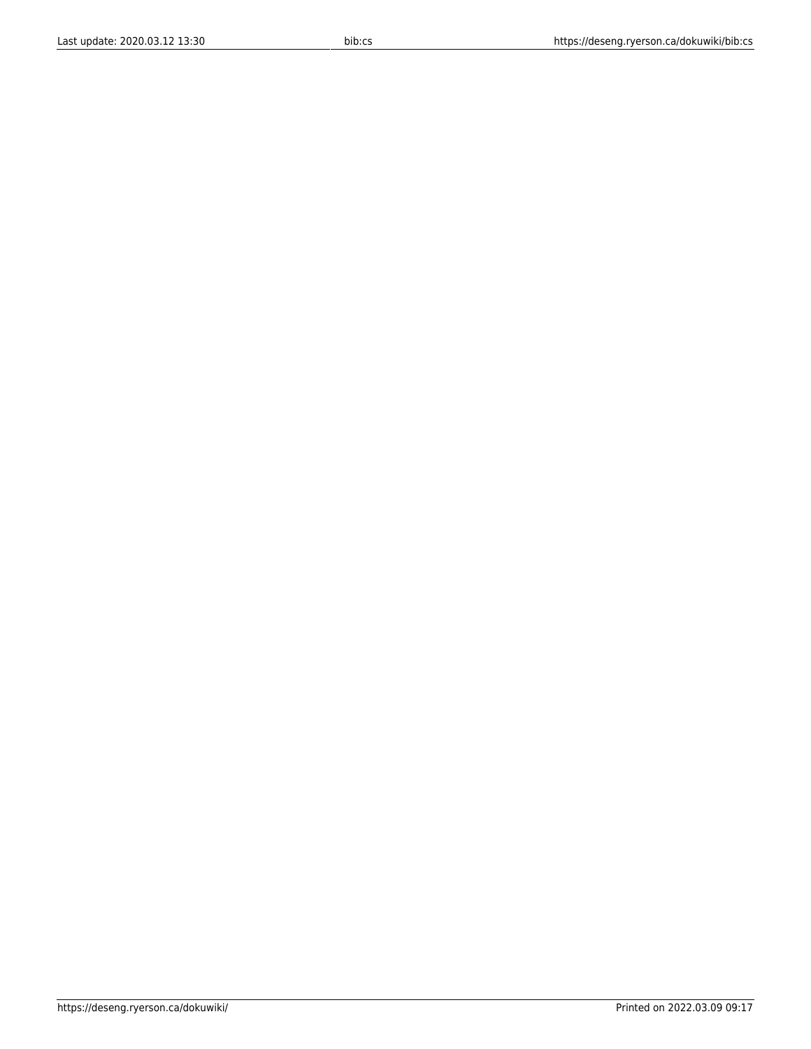https://deseng.ryerson.ca/dokuwiki/ Printed on 2022.03.09 09:17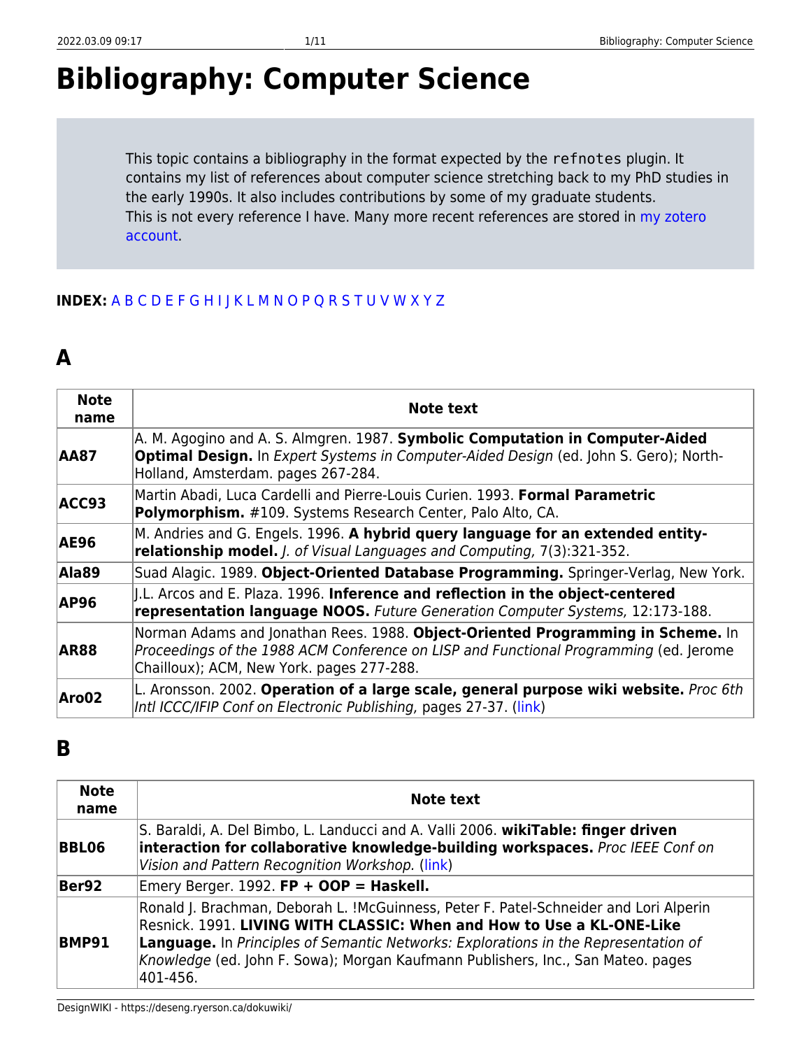# **Bibliography: Computer Science**

This topic contains a bibliography in the format expected by the refnotes plugin. It contains my list of references about computer science stretching back to my PhD studies in the early 1990s. It also includes contributions by some of my graduate students. This is not every reference I have. Many more recent references are stored in [my zotero](https://www.zotero.org/filsalustri/items) [account](https://www.zotero.org/filsalustri/items).

#### **INDEX:** [A](#page-2-2) [B](#page-2-3) [C](#page-3-2) [D](#page-3-3) [E](#page-4-3) [F](#page-4-4) [G](#page-4-5) [H](#page-5-4) [I](#page-5-5) [J](#page-5-6) [K](#page-5-7) [L](#page-7-1) [M](#page-8-1) [N](#page-9-2) [O](#page-9-3) [P](#page-9-4) [Q](#page-10-2) [R](#page-10-3) [S](#page-11-2) [T](#page-11-3) [U](#page-12-7) [V](#page-12-8) [W](#page-12-9) [X](#page-12-10) [Y](#page-12-11) [Z](#page-12-12)

## <span id="page-2-2"></span><span id="page-2-0"></span>**A**

| <b>Note</b><br>name | Note text                                                                                                                                                                                                             |
|---------------------|-----------------------------------------------------------------------------------------------------------------------------------------------------------------------------------------------------------------------|
| <b>AA87</b>         | A. M. Agogino and A. S. Almgren. 1987. Symbolic Computation in Computer-Aided<br>Optimal Design. In Expert Systems in Computer-Aided Design (ed. John S. Gero); North-<br>Holland, Amsterdam. pages 267-284.          |
| ACC93               | Martin Abadi, Luca Cardelli and Pierre-Louis Curien. 1993. Formal Parametric<br>Polymorphism. #109. Systems Research Center, Palo Alto, CA.                                                                           |
| <b>AE96</b>         | M. Andries and G. Engels. 1996. A hybrid query language for an extended entity-<br>relationship model. J. of Visual Languages and Computing, 7(3):321-352.                                                            |
| Ala89               | Suad Alagic. 1989. Object-Oriented Database Programming. Springer-Verlag, New York.                                                                                                                                   |
| <b>AP96</b>         | I.L. Arcos and E. Plaza. 1996. Inference and reflection in the object-centered<br>representation language NOOS. Future Generation Computer Systems, 12:173-188.                                                       |
| <b>AR88</b>         | Norman Adams and Jonathan Rees. 1988. Object-Oriented Programming in Scheme. In<br>Proceedings of the 1988 ACM Conference on LISP and Functional Programming (ed. Jerome<br>Chailloux); ACM, New York. pages 277-288. |
| Aro02               | L. Aronsson. 2002. Operation of a large scale, general purpose wiki website. Proc 6th<br>Intl ICCC/IFIP Conf on Electronic Publishing, pages 27-37. (link)                                                            |

#### <span id="page-2-3"></span><span id="page-2-1"></span>**B**

| <b>Note</b><br>name | Note text                                                                                                                                                                                                                                                                                                                                             |
|---------------------|-------------------------------------------------------------------------------------------------------------------------------------------------------------------------------------------------------------------------------------------------------------------------------------------------------------------------------------------------------|
| <b>BBL06</b>        | S. Baraldi, A. Del Bimbo, L. Landucci and A. Valli 2006. wikiTable: finger driven<br>interaction for collaborative knowledge-building workspaces. Proc IEEE Conf on<br>Vision and Pattern Recognition Workshop. (link)                                                                                                                                |
| Ber92               | Emery Berger. 1992. $FP + OOP = Haskell.$                                                                                                                                                                                                                                                                                                             |
| <b>BMP91</b>        | Ronald J. Brachman, Deborah L. !McGuinness, Peter F. Patel-Schneider and Lori Alperin<br>Resnick. 1991. LIVING WITH CLASSIC: When and How to Use a KL-ONE-Like<br>Language. In Principles of Semantic Networks: Explorations in the Representation of<br>Knowledge (ed. John F. Sowa); Morgan Kaufmann Publishers, Inc., San Mateo. pages<br>401-456. |

DesignWIKI - https://deseng.ryerson.ca/dokuwiki/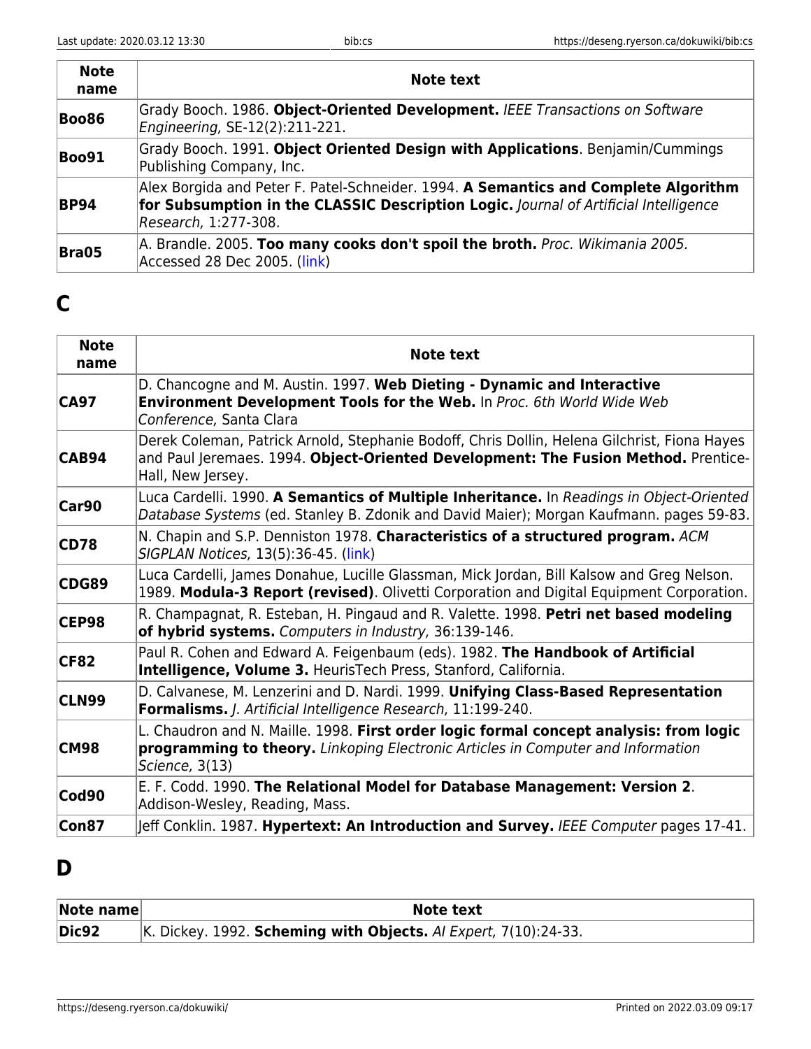| <b>Note</b><br>name | Note text                                                                                                                                                                                           |
|---------------------|-----------------------------------------------------------------------------------------------------------------------------------------------------------------------------------------------------|
| <b>Boo86</b>        | Grady Booch. 1986. Object-Oriented Development. IEEE Transactions on Software<br>Engineering, SE-12(2):211-221.                                                                                     |
| <b>Boo91</b>        | Grady Booch. 1991. Object Oriented Design with Applications. Benjamin/Cummings<br>Publishing Company, Inc.                                                                                          |
| <b>BP94</b>         | Alex Borgida and Peter F. Patel-Schneider. 1994. A Semantics and Complete Algorithm<br>for Subsumption in the CLASSIC Description Logic. Journal of Artificial Intelligence<br>Research, 1:277-308. |
| Bra05               | A. Brandle. 2005. Too many cooks don't spoil the broth. Proc. Wikimania 2005.<br>Accessed 28 Dec 2005. (link)                                                                                       |

# <span id="page-3-2"></span><span id="page-3-0"></span>**C**

| <b>Note</b><br>name | Note text                                                                                                                                                                                               |
|---------------------|---------------------------------------------------------------------------------------------------------------------------------------------------------------------------------------------------------|
| CA97                | D. Chancogne and M. Austin. 1997. Web Dieting - Dynamic and Interactive<br>Environment Development Tools for the Web. In Proc. 6th World Wide Web<br>Conference, Santa Clara                            |
| CAB94               | Derek Coleman, Patrick Arnold, Stephanie Bodoff, Chris Dollin, Helena Gilchrist, Fiona Hayes<br>and Paul Jeremaes. 1994. Object-Oriented Development: The Fusion Method. Prentice-<br>Hall, New Jersey. |
| Car90               | Luca Cardelli. 1990. A Semantics of Multiple Inheritance. In Readings in Object-Oriented<br>Database Systems (ed. Stanley B. Zdonik and David Maier); Morgan Kaufmann. pages 59-83.                     |
| <b>CD78</b>         | N. Chapin and S.P. Denniston 1978. Characteristics of a structured program. ACM<br>SIGPLAN Notices, 13(5):36-45. (link)                                                                                 |
| CDG89               | Luca Cardelli, James Donahue, Lucille Glassman, Mick Jordan, Bill Kalsow and Greg Nelson.<br>1989. Modula-3 Report (revised). Olivetti Corporation and Digital Equipment Corporation.                   |
| CEP98               | R. Champagnat, R. Esteban, H. Pingaud and R. Valette. 1998. Petri net based modeling<br>of hybrid systems. Computers in Industry, 36:139-146.                                                           |
| CF82                | Paul R. Cohen and Edward A. Feigenbaum (eds). 1982. The Handbook of Artificial<br>Intelligence, Volume 3. HeurisTech Press, Stanford, California.                                                       |
| <b>CLN99</b>        | D. Calvanese, M. Lenzerini and D. Nardi. 1999. Unifying Class-Based Representation<br>Formalisms. J. Artificial Intelligence Research, 11:199-240.                                                      |
| <b>CM98</b>         | L. Chaudron and N. Maille. 1998. First order logic formal concept analysis: from logic<br>programming to theory. Linkoping Electronic Articles in Computer and Information<br>Science, 3(13)            |
| Cod90               | E. F. Codd. 1990. The Relational Model for Database Management: Version 2.<br>Addison-Wesley, Reading, Mass.                                                                                            |
| Con87               | Jeff Conklin. 1987. Hypertext: An Introduction and Survey. IEEE Computer pages 17-41.                                                                                                                   |

#### <span id="page-3-3"></span><span id="page-3-1"></span>**D**

| Note name | Note text                                                          |
|-----------|--------------------------------------------------------------------|
| Dic92     | K. Dickey. 1992. Scheming with Objects. Al Expert, $7(10):24-33$ . |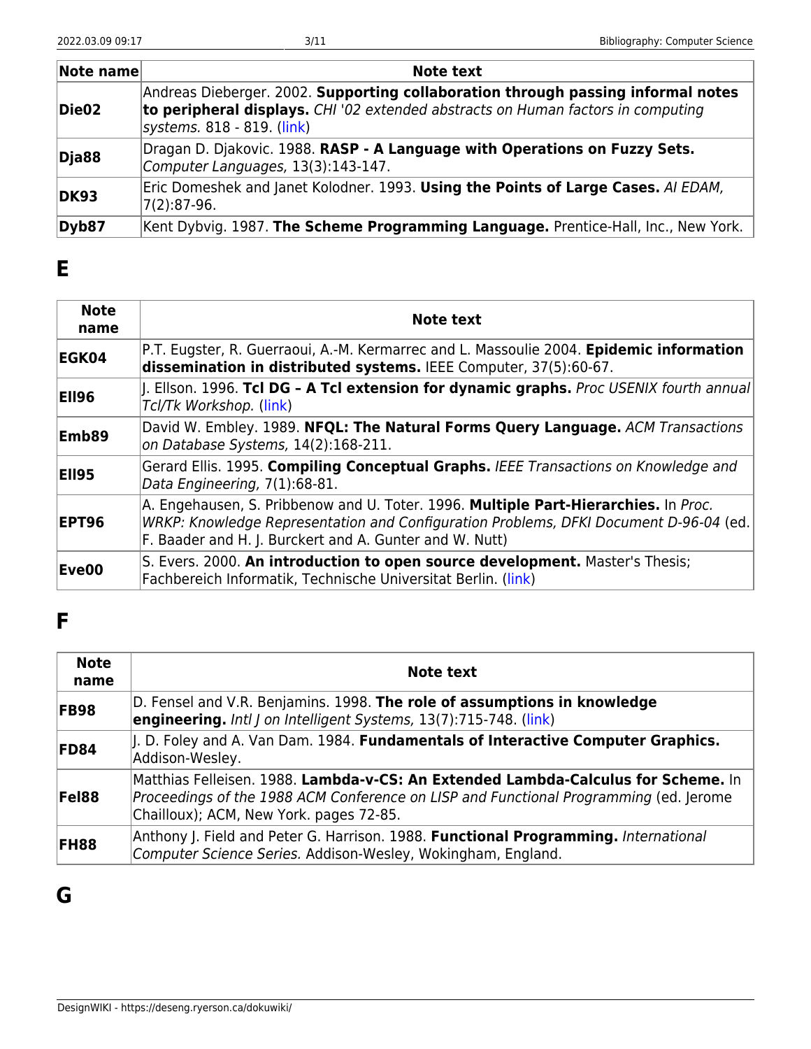| Note name         | Note text                                                                                                                                                                                          |
|-------------------|----------------------------------------------------------------------------------------------------------------------------------------------------------------------------------------------------|
| Die <sub>02</sub> | Andreas Dieberger. 2002. Supporting collaboration through passing informal notes<br>to peripheral displays. CHI '02 extended abstracts on Human factors in computing<br>systems. 818 - 819. (link) |
| Dja88             | Dragan D. Djakovic. 1988. RASP - A Language with Operations on Fuzzy Sets.<br>Computer Languages, 13(3):143-147.                                                                                   |
| <b>DK93</b>       | Eric Domeshek and Janet Kolodner. 1993. Using the Points of Large Cases. AI EDAM,<br>7(2):87-96.                                                                                                   |
| Dyb87             | Kent Dybvig. 1987. The Scheme Programming Language. Prentice-Hall, Inc., New York.                                                                                                                 |

#### <span id="page-4-3"></span><span id="page-4-0"></span>**E**

| <b>Note</b><br>name | <b>Note text</b>                                                                                                                                                                                                                        |
|---------------------|-----------------------------------------------------------------------------------------------------------------------------------------------------------------------------------------------------------------------------------------|
| EGK04               | P.T. Eugster, R. Guerraoui, A.-M. Kermarrec and L. Massoulie 2004. Epidemic information<br>dissemination in distributed systems. IEEE Computer, 37(5):60-67.                                                                            |
| Ell96               | [. Ellson. 1996. Tcl DG - A Tcl extension for dynamic graphs. Proc USENIX fourth annual<br>Tcl/Tk Workshop. (link)                                                                                                                      |
| Emb89               | David W. Embley. 1989. NFQL: The Natural Forms Query Language. ACM Transactions<br>on Database Systems, 14(2):168-211.                                                                                                                  |
| <b>EII95</b>        | Gerard Ellis. 1995. Compiling Conceptual Graphs. IEEE Transactions on Knowledge and<br>Data Engineering, 7(1):68-81.                                                                                                                    |
| <b>EPT96</b>        | A. Engehausen, S. Pribbenow and U. Toter. 1996. Multiple Part-Hierarchies. In Proc.<br>WRKP: Knowledge Representation and Configuration Problems, DFKI Document D-96-04 (ed.<br>F. Baader and H. J. Burckert and A. Gunter and W. Nutt) |
| Eve00               | S. Evers. 2000. An introduction to open source development. Master's Thesis;<br>Fachbereich Informatik, Technische Universitat Berlin. (link)                                                                                           |

#### <span id="page-4-4"></span><span id="page-4-1"></span>**F**

| <b>Note</b><br>name            | Note text                                                                                                                                                                                                             |
|--------------------------------|-----------------------------------------------------------------------------------------------------------------------------------------------------------------------------------------------------------------------|
| <b>FB98</b>                    | D. Fensel and V.R. Benjamins. 1998. The role of assumptions in knowledge<br>engineering. Intl J on Intelligent Systems, 13(7):715-748. (link)                                                                         |
| <b>FD84</b><br>Addison-Wesley. | J. D. Foley and A. Van Dam. 1984. Fundamentals of Interactive Computer Graphics.                                                                                                                                      |
| Fel88                          | Matthias Felleisen, 1988. Lambda-v-CS: An Extended Lambda-Calculus for Scheme. In<br>Proceedings of the 1988 ACM Conference on LISP and Functional Programming (ed. Jerome<br>Chailloux); ACM, New York. pages 72-85. |
| <b>FH88</b>                    | Anthony J. Field and Peter G. Harrison. 1988. Functional Programming. International<br>Computer Science Series. Addison-Wesley, Wokingham, England.                                                                   |

# <span id="page-4-5"></span><span id="page-4-2"></span>**G**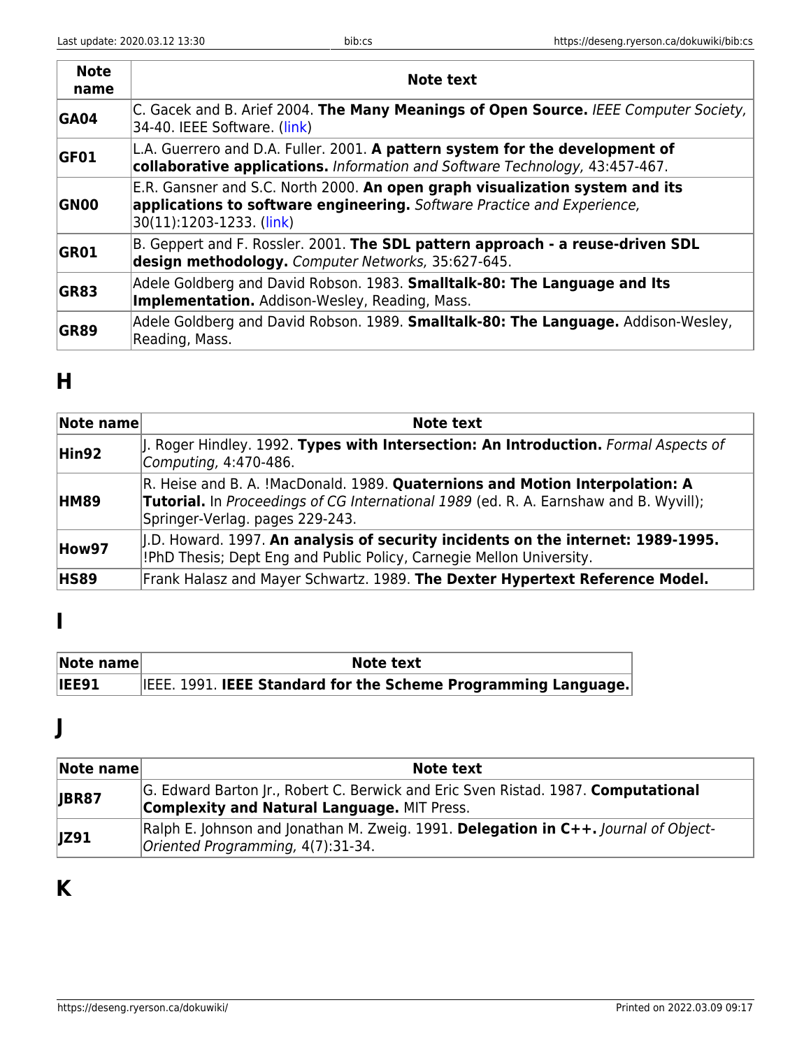| <b>Note</b><br>name | Note text                                                                                                                                                                           |
|---------------------|-------------------------------------------------------------------------------------------------------------------------------------------------------------------------------------|
| GA04                | C. Gacek and B. Arief 2004. The Many Meanings of Open Source. IEEE Computer Society,<br>34-40. IEEE Software. (link)                                                                |
| GF01                | L.A. Guerrero and D.A. Fuller. 2001. A pattern system for the development of<br>collaborative applications. Information and Software Technology, 43:457-467.                        |
| GN <sub>00</sub>    | E.R. Gansner and S.C. North 2000. An open graph visualization system and its<br>applications to software engineering. Software Practice and Experience,<br>30(11):1203-1233. (link) |
| <b>GR01</b>         | B. Geppert and F. Rossler. 2001. The SDL pattern approach - a reuse-driven SDL<br>design methodology. Computer Networks, 35:627-645.                                                |
| GR83                | Adele Goldberg and David Robson. 1983. Smalltalk-80: The Language and Its<br>Implementation. Addison-Wesley, Reading, Mass.                                                         |
| GR89                | Adele Goldberg and David Robson. 1989. Smalltalk-80: The Language. Addison-Wesley,<br>Reading, Mass.                                                                                |

#### <span id="page-5-4"></span><span id="page-5-0"></span>**H**

| Note name   | Note text                                                                                                                                                                                                |
|-------------|----------------------------------------------------------------------------------------------------------------------------------------------------------------------------------------------------------|
| Hin92       | J. Roger Hindley. 1992. Types with Intersection: An Introduction. Formal Aspects of<br>Computing, 4:470-486.                                                                                             |
| <b>HM89</b> | R. Heise and B. A. !MacDonald. 1989. Quaternions and Motion Interpolation: A<br>Tutorial. In Proceedings of CG International 1989 (ed. R. A. Earnshaw and B. Wyvill);<br>Springer-Verlag. pages 229-243. |
| How97       | [J.D. Howard. 1997. An analysis of security incidents on the internet: 1989-1995.<br>!PhD Thesis; Dept Eng and Public Policy, Carnegie Mellon University.                                                |
| <b>HS89</b> | Frank Halasz and Mayer Schwartz. 1989. The Dexter Hypertext Reference Model.                                                                                                                             |

#### <span id="page-5-5"></span><span id="page-5-1"></span>**I**

| Note name    | Note text                                                      |
|--------------|----------------------------------------------------------------|
| <b>IEE91</b> | IEEE. 1991. IEEE Standard for the Scheme Programming Language. |

#### <span id="page-5-6"></span><span id="page-5-2"></span>**J**

| Note name    | Note text                                                                                                                               |
|--------------|-----------------------------------------------------------------------------------------------------------------------------------------|
| <b>JBR87</b> | G. Edward Barton Jr., Robert C. Berwick and Eric Sven Ristad. 1987. Computational<br><b>Complexity and Natural Language. MIT Press.</b> |
| $ $ $ Z91$   | Ralph E. Johnson and Jonathan M. Zweig. 1991. Delegation in C++. Journal of Object-<br>Oriented Programming, 4(7):31-34.                |

#### <span id="page-5-7"></span><span id="page-5-3"></span>**K**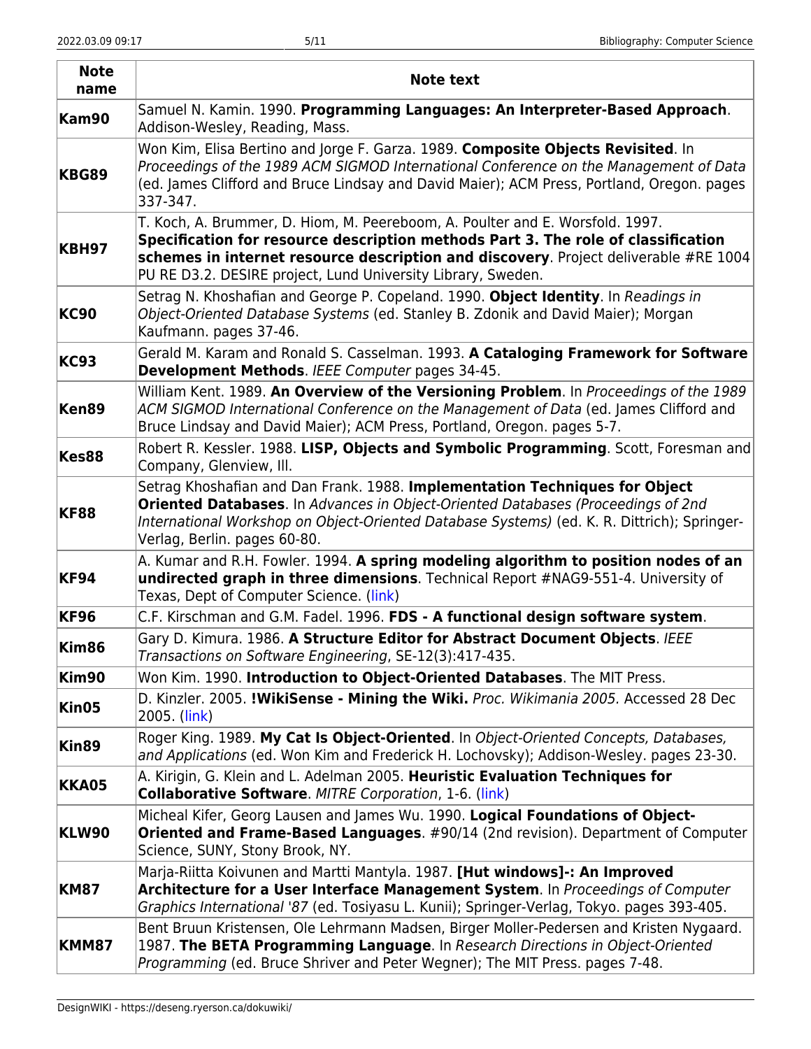| <b>Note</b><br>name | <b>Note text</b>                                                                                                                                                                                                                                                                                                           |
|---------------------|----------------------------------------------------------------------------------------------------------------------------------------------------------------------------------------------------------------------------------------------------------------------------------------------------------------------------|
| Kam90               | Samuel N. Kamin. 1990. Programming Languages: An Interpreter-Based Approach.<br>Addison-Wesley, Reading, Mass.                                                                                                                                                                                                             |
| <b>KBG89</b>        | Won Kim, Elisa Bertino and Jorge F. Garza. 1989. Composite Objects Revisited. In<br>Proceedings of the 1989 ACM SIGMOD International Conference on the Management of Data<br>(ed. James Clifford and Bruce Lindsay and David Maier); ACM Press, Portland, Oregon. pages<br>337-347.                                        |
| <b>KBH97</b>        | T. Koch, A. Brummer, D. Hiom, M. Peereboom, A. Poulter and E. Worsfold. 1997.<br>Specification for resource description methods Part 3. The role of classification<br>schemes in internet resource description and discovery. Project deliverable #RE 1004<br>PU RE D3.2. DESIRE project, Lund University Library, Sweden. |
| <b>KC90</b>         | Setrag N. Khoshafian and George P. Copeland. 1990. Object Identity. In Readings in<br>Object-Oriented Database Systems (ed. Stanley B. Zdonik and David Maier); Morgan<br>Kaufmann. pages 37-46.                                                                                                                           |
| <b>KC93</b>         | Gerald M. Karam and Ronald S. Casselman. 1993. A Cataloging Framework for Software<br>Development Methods. IEEE Computer pages 34-45.                                                                                                                                                                                      |
| Ken89               | William Kent. 1989. An Overview of the Versioning Problem. In Proceedings of the 1989<br>ACM SIGMOD International Conference on the Management of Data (ed. James Clifford and<br>Bruce Lindsay and David Maier); ACM Press, Portland, Oregon. pages 5-7.                                                                  |
| Kes88               | Robert R. Kessler. 1988. LISP, Objects and Symbolic Programming. Scott, Foresman and<br>Company, Glenview, Ill.                                                                                                                                                                                                            |
| <b>KF88</b>         | Setrag Khoshafian and Dan Frank. 1988. Implementation Techniques for Object<br>Oriented Databases. In Advances in Object-Oriented Databases (Proceedings of 2nd<br>International Workshop on Object-Oriented Database Systems) (ed. K. R. Dittrich); Springer-<br>Verlag, Berlin. pages 60-80.                             |
| <b>KF94</b>         | A. Kumar and R.H. Fowler. 1994. A spring modeling algorithm to position nodes of an<br>undirected graph in three dimensions. Technical Report #NAG9-551-4. University of<br>Texas, Dept of Computer Science. (link)                                                                                                        |
| <b>KF96</b>         | C.F. Kirschman and G.M. Fadel. 1996. FDS - A functional design software system.                                                                                                                                                                                                                                            |
| Kim86               | Gary D. Kimura. 1986. A Structure Editor for Abstract Document Objects. IEEE<br>Transactions on Software Engineering, SE-12(3):417-435.                                                                                                                                                                                    |
| Kim90               | Won Kim. 1990. Introduction to Object-Oriented Databases. The MIT Press.                                                                                                                                                                                                                                                   |
| Kin05               | D. Kinzler. 2005. !WikiSense - Mining the Wiki. Proc. Wikimania 2005. Accessed 28 Dec<br>2005. (link)                                                                                                                                                                                                                      |
| Kin89               | Roger King. 1989. My Cat Is Object-Oriented. In Object-Oriented Concepts, Databases,<br>and Applications (ed. Won Kim and Frederick H. Lochovsky); Addison-Wesley. pages 23-30.                                                                                                                                            |
| <b>KKA05</b>        | A. Kirigin, G. Klein and L. Adelman 2005. Heuristic Evaluation Techniques for<br>Collaborative Software. MITRE Corporation, 1-6. (link)                                                                                                                                                                                    |
| KLW90               | Micheal Kifer, Georg Lausen and James Wu. 1990. Logical Foundations of Object-<br><b>Oriented and Frame-Based Languages.</b> #90/14 (2nd revision). Department of Computer<br>Science, SUNY, Stony Brook, NY.                                                                                                              |
| <b>KM87</b>         | Marja-Riitta Koivunen and Martti Mantyla. 1987. [Hut windows]-: An Improved<br>Architecture for a User Interface Management System. In Proceedings of Computer<br>Graphics International '87 (ed. Tosiyasu L. Kunii); Springer-Verlag, Tokyo. pages 393-405.                                                               |
| <b>KMM87</b>        | Bent Bruun Kristensen, Ole Lehrmann Madsen, Birger Moller-Pedersen and Kristen Nygaard.<br>1987. The BETA Programming Language. In Research Directions in Object-Oriented<br>Programming (ed. Bruce Shriver and Peter Wegner); The MIT Press. pages 7-48.                                                                  |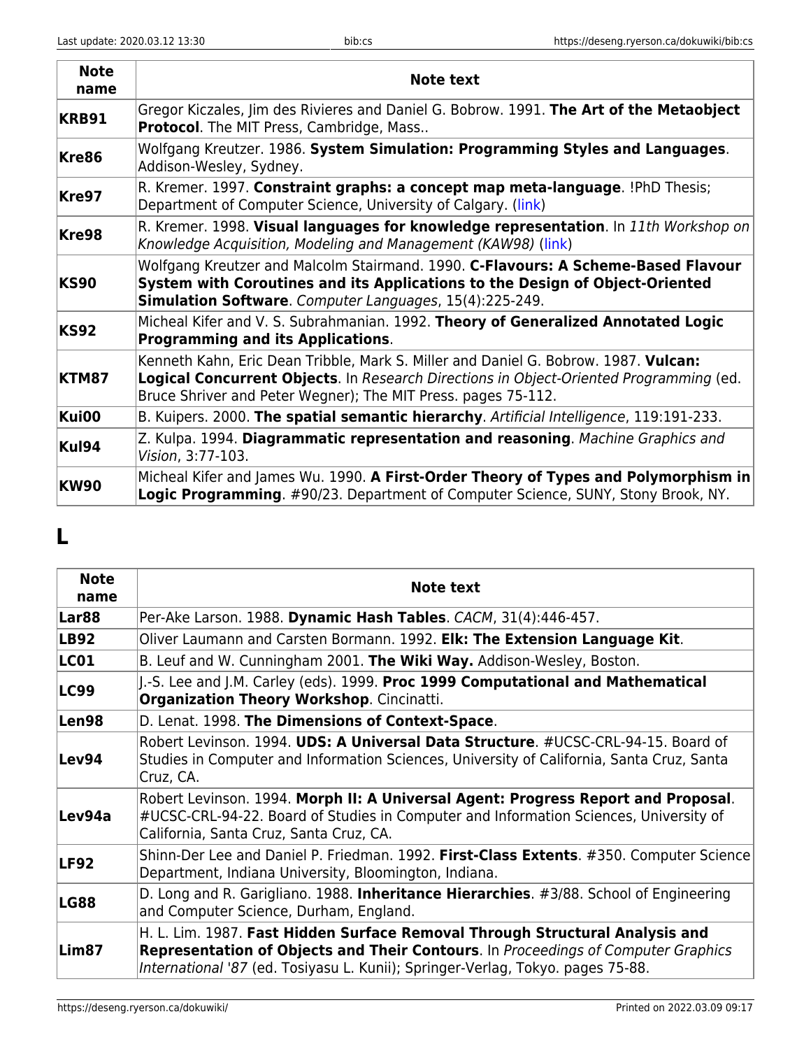| <b>Note</b><br>name | Note text                                                                                                                                                                                                                                      |
|---------------------|------------------------------------------------------------------------------------------------------------------------------------------------------------------------------------------------------------------------------------------------|
| <b>KRB91</b>        | Gregor Kiczales, Jim des Rivieres and Daniel G. Bobrow. 1991. The Art of the Metaobject<br><b>Protocol.</b> The MIT Press, Cambridge, Mass                                                                                                     |
| Kre86               | Wolfgang Kreutzer. 1986. System Simulation: Programming Styles and Languages.<br>Addison-Wesley, Sydney.                                                                                                                                       |
| Kre97               | R. Kremer. 1997. Constraint graphs: a concept map meta-language. !PhD Thesis;<br>Department of Computer Science, University of Calgary. (link)                                                                                                 |
| Kre98               | R. Kremer. 1998. Visual languages for knowledge representation. In 11th Workshop on<br>Knowledge Acquisition, Modeling and Management (KAW98) (link)                                                                                           |
| KS90                | Wolfgang Kreutzer and Malcolm Stairmand. 1990. C-Flavours: A Scheme-Based Flavour<br>System with Coroutines and its Applications to the Design of Object-Oriented<br>Simulation Software. Computer Languages, 15(4):225-249.                   |
| <b>KS92</b>         | Micheal Kifer and V. S. Subrahmanian. 1992. Theory of Generalized Annotated Logic<br><b>Programming and its Applications.</b>                                                                                                                  |
| KTM87               | Kenneth Kahn, Eric Dean Tribble, Mark S. Miller and Daniel G. Bobrow. 1987. Vulcan:<br>Logical Concurrent Objects. In Research Directions in Object-Oriented Programming (ed.<br>Bruce Shriver and Peter Wegner); The MIT Press. pages 75-112. |
| Kui00               | B. Kuipers. 2000. The spatial semantic hierarchy. Artificial Intelligence, 119:191-233.                                                                                                                                                        |
| Kul94               | Z. Kulpa. 1994. Diagrammatic representation and reasoning. Machine Graphics and<br>Vision, 3:77-103.                                                                                                                                           |
| <b>KW90</b>         | Micheal Kifer and James Wu. 1990. A First-Order Theory of Types and Polymorphism in<br>Logic Programming. #90/23. Department of Computer Science, SUNY, Stony Brook, NY.                                                                       |

#### <span id="page-7-1"></span><span id="page-7-0"></span>**L**

| <b>Note</b><br>name | Note text                                                                                                                                                                                                                                            |
|---------------------|------------------------------------------------------------------------------------------------------------------------------------------------------------------------------------------------------------------------------------------------------|
| Lar88               | Per-Ake Larson. 1988. Dynamic Hash Tables. CACM, 31(4):446-457.                                                                                                                                                                                      |
| <b>LB92</b>         | Oliver Laumann and Carsten Bormann. 1992. Elk: The Extension Language Kit.                                                                                                                                                                           |
| LC01                | B. Leuf and W. Cunningham 2001. The Wiki Way. Addison-Wesley, Boston.                                                                                                                                                                                |
| LC99                | J.-S. Lee and J.M. Carley (eds). 1999. Proc 1999 Computational and Mathematical<br><b>Organization Theory Workshop. Cincinatti.</b>                                                                                                                  |
| Len98               | D. Lenat. 1998. The Dimensions of Context-Space.                                                                                                                                                                                                     |
| Lev94               | Robert Levinson. 1994. UDS: A Universal Data Structure. #UCSC-CRL-94-15. Board of<br>Studies in Computer and Information Sciences, University of California, Santa Cruz, Santa<br>Cruz, CA.                                                          |
| Lev94a              | Robert Levinson. 1994. Morph II: A Universal Agent: Progress Report and Proposal.<br>#UCSC-CRL-94-22. Board of Studies in Computer and Information Sciences, University of<br>California, Santa Cruz, Santa Cruz, CA.                                |
| <b>LF92</b>         | Shinn-Der Lee and Daniel P. Friedman. 1992. First-Class Extents. #350. Computer Science<br>Department, Indiana University, Bloomington, Indiana.                                                                                                     |
| LG88                | D. Long and R. Garigliano. 1988. Inheritance Hierarchies. #3/88. School of Engineering<br>and Computer Science, Durham, England.                                                                                                                     |
| Lim87               | H. L. Lim. 1987. Fast Hidden Surface Removal Through Structural Analysis and<br>Representation of Objects and Their Contours. In Proceedings of Computer Graphics<br>International '87 (ed. Tosiyasu L. Kunii); Springer-Verlag, Tokyo. pages 75-88. |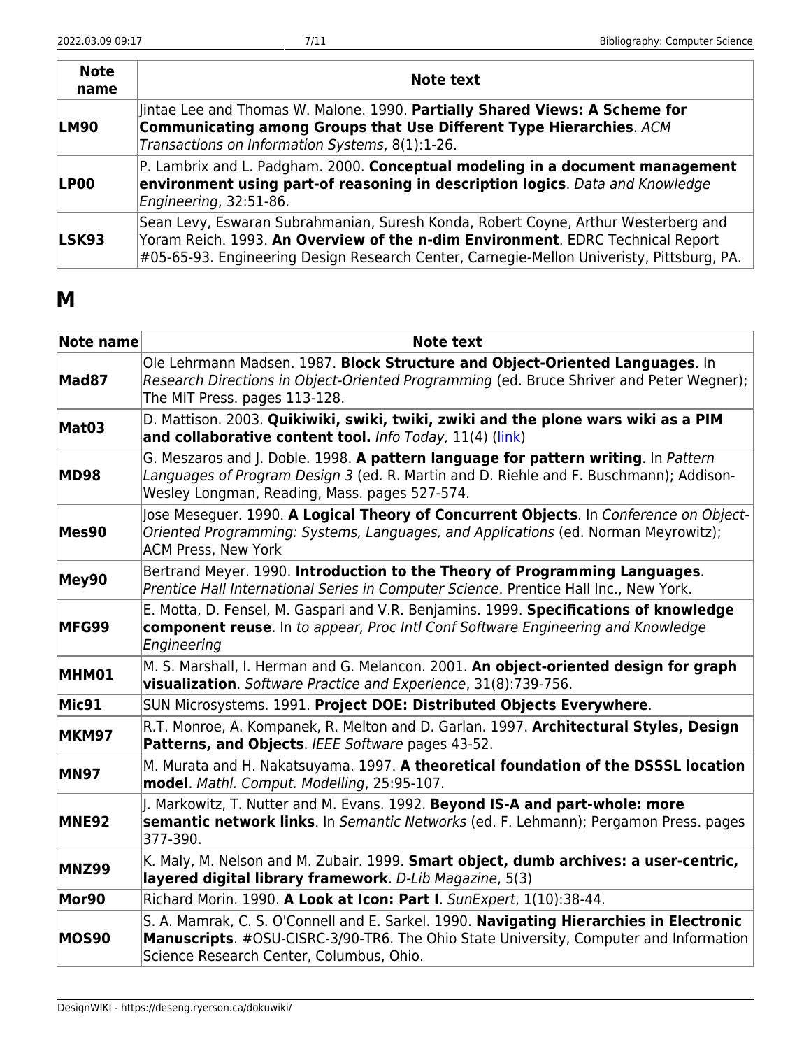| <b>Note</b><br>name | Note text                                                                                                                                                                                                                                                         |
|---------------------|-------------------------------------------------------------------------------------------------------------------------------------------------------------------------------------------------------------------------------------------------------------------|
| <b>LM90</b>         | Jintae Lee and Thomas W. Malone. 1990. Partially Shared Views: A Scheme for<br>Communicating among Groups that Use Different Type Hierarchies. ACM<br>Transactions on Information Systems, 8(1):1-26.                                                             |
| LP00                | P. Lambrix and L. Padgham. 2000. Conceptual modeling in a document management<br>environment using part-of reasoning in description logics. Data and Knowledge<br>Engineering, 32:51-86.                                                                          |
| LSK93               | Sean Levy, Eswaran Subrahmanian, Suresh Konda, Robert Coyne, Arthur Westerberg and<br>Yoram Reich. 1993. An Overview of the n-dim Environment. EDRC Technical Report<br>#05-65-93. Engineering Design Research Center, Carnegie-Mellon Univeristy, Pittsburg, PA. |

# <span id="page-8-1"></span><span id="page-8-0"></span>**M**

| Note name         | Note text                                                                                                                                                                                                                     |
|-------------------|-------------------------------------------------------------------------------------------------------------------------------------------------------------------------------------------------------------------------------|
| Mad87             | Ole Lehrmann Madsen. 1987. Block Structure and Object-Oriented Languages. In<br>Research Directions in Object-Oriented Programming (ed. Bruce Shriver and Peter Wegner);<br>The MIT Press. pages 113-128.                     |
| Mat <sub>03</sub> | D. Mattison. 2003. Quikiwiki, swiki, twiki, zwiki and the plone wars wiki as a PIM<br>and collaborative content tool. Info Today, 11(4) (link)                                                                                |
| <b>MD98</b>       | G. Meszaros and J. Doble. 1998. A pattern language for pattern writing. In Pattern<br>Languages of Program Design 3 (ed. R. Martin and D. Riehle and F. Buschmann); Addison-<br>Wesley Longman, Reading, Mass. pages 527-574. |
| Mes90             | Jose Mesequer. 1990. A Logical Theory of Concurrent Objects. In Conference on Object-<br>Oriented Programming: Systems, Languages, and Applications (ed. Norman Meyrowitz);<br><b>ACM Press, New York</b>                     |
| Mey90             | Bertrand Meyer. 1990. Introduction to the Theory of Programming Languages.<br>Prentice Hall International Series in Computer Science. Prentice Hall Inc., New York.                                                           |
| MFG99             | E. Motta, D. Fensel, M. Gaspari and V.R. Benjamins. 1999. Specifications of knowledge<br>component reuse. In to appear, Proc Intl Conf Software Engineering and Knowledge<br>Engineering                                      |
| MHM01             | M. S. Marshall, I. Herman and G. Melancon. 2001. An object-oriented design for graph<br>visualization. Software Practice and Experience, 31(8):739-756.                                                                       |
| Mic91             | SUN Microsystems. 1991. Project DOE: Distributed Objects Everywhere.                                                                                                                                                          |
| <b>MKM97</b>      | R.T. Monroe, A. Kompanek, R. Melton and D. Garlan. 1997. Architectural Styles, Design<br>Patterns, and Objects. IEEE Software pages 43-52.                                                                                    |
| <b>MN97</b>       | M. Murata and H. Nakatsuyama. 1997. A theoretical foundation of the DSSSL location<br>model. Mathl. Comput. Modelling, 25:95-107.                                                                                             |
| <b>MNE92</b>      | J. Markowitz, T. Nutter and M. Evans. 1992. Beyond IS-A and part-whole: more<br>semantic network links. In Semantic Networks (ed. F. Lehmann); Pergamon Press. pages<br>377-390.                                              |
| <b>MNZ99</b>      | K. Maly, M. Nelson and M. Zubair. 1999. Smart object, dumb archives: a user-centric,<br>layered digital library framework. D-Lib Magazine, 5(3)                                                                               |
| Mor90             | Richard Morin. 1990. A Look at Icon: Part I. SunExpert, 1(10):38-44.                                                                                                                                                          |
| MOS90             | S. A. Mamrak, C. S. O'Connell and E. Sarkel. 1990. Navigating Hierarchies in Electronic<br>Manuscripts. #OSU-CISRC-3/90-TR6. The Ohio State University, Computer and Information<br>Science Research Center, Columbus, Ohio.  |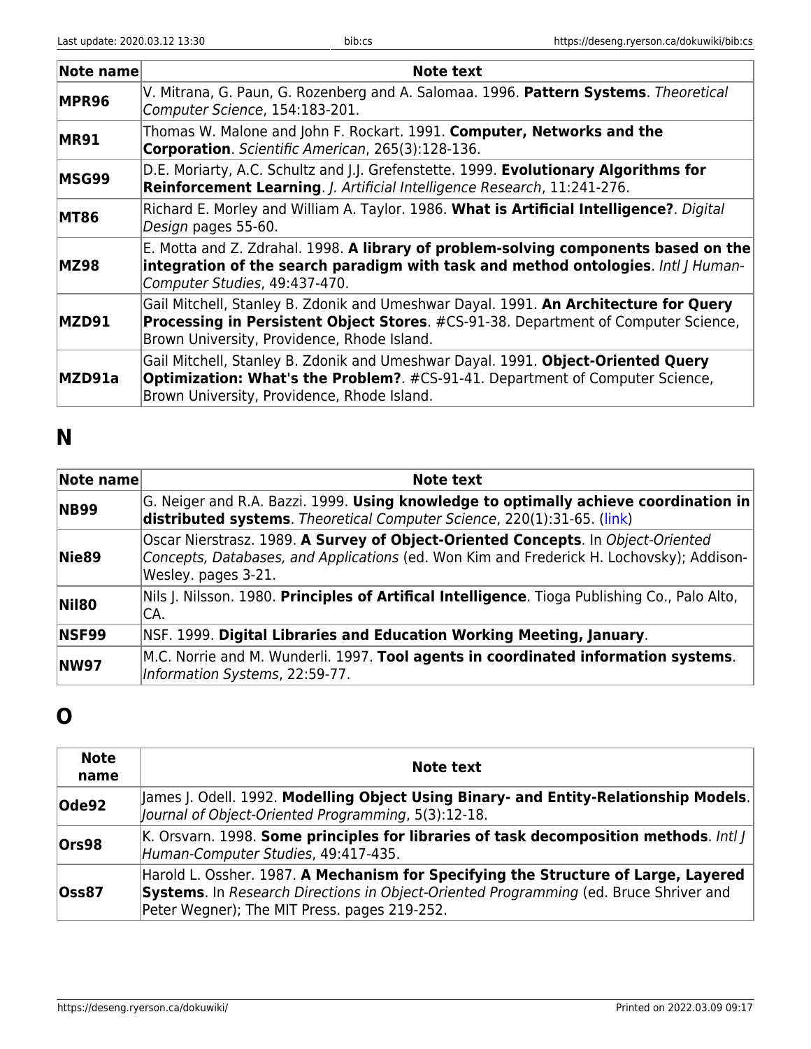| Note name   | Note text                                                                                                                                                                                                                 |
|-------------|---------------------------------------------------------------------------------------------------------------------------------------------------------------------------------------------------------------------------|
| MPR96       | V. Mitrana, G. Paun, G. Rozenberg and A. Salomaa. 1996. Pattern Systems. Theoretical<br>Computer Science, 154:183-201.                                                                                                    |
| <b>MR91</b> | Thomas W. Malone and John F. Rockart. 1991. Computer, Networks and the<br>Corporation. Scientific American, 265(3):128-136.                                                                                               |
| MSG99       | D.E. Moriarty, A.C. Schultz and J.J. Grefenstette. 1999. Evolutionary Algorithms for<br>Reinforcement Learning. J. Artificial Intelligence Research, 11:241-276.                                                          |
| <b>MT86</b> | Richard E. Morley and William A. Taylor. 1986. What is Artificial Intelligence?. Digital<br>Design pages 55-60.                                                                                                           |
| <b>MZ98</b> | E. Motta and Z. Zdrahal. 1998. A library of problem-solving components based on the<br>integration of the search paradigm with task and method ontologies. Intl J Human-<br>Computer Studies, 49:437-470.                 |
| MZD91       | Gail Mitchell, Stanley B. Zdonik and Umeshwar Dayal. 1991. An Architecture for Query<br>Processing in Persistent Object Stores. #CS-91-38. Department of Computer Science,<br>Brown University, Providence, Rhode Island. |
| MZD91a      | Gail Mitchell, Stanley B. Zdonik and Umeshwar Dayal. 1991. Object-Oriented Query<br>Optimization: What's the Problem?. #CS-91-41. Department of Computer Science,<br>Brown University, Providence, Rhode Island.          |

## <span id="page-9-2"></span><span id="page-9-0"></span>**N**

| Note name         | Note text                                                                                                                                                                                           |
|-------------------|-----------------------------------------------------------------------------------------------------------------------------------------------------------------------------------------------------|
| <b>NB99</b>       | G. Neiger and R.A. Bazzi. 1999. Using knowledge to optimally achieve coordination in<br>distributed systems. Theoretical Computer Science, 220(1):31-65. (link)                                     |
| Nie <sub>89</sub> | Oscar Nierstrasz. 1989. A Survey of Object-Oriented Concepts. In Object-Oriented<br>Concepts, Databases, and Applications (ed. Won Kim and Frederick H. Lochovsky); Addison-<br>Wesley. pages 3-21. |
| <b>Nil80</b>      | Nils J. Nilsson. 1980. Principles of Artifical Intelligence. Tioga Publishing Co., Palo Alto,<br>ICA.                                                                                               |
| NSF99             | NSF. 1999. Digital Libraries and Education Working Meeting, January.                                                                                                                                |
| <b>NW97</b>       | M.C. Norrie and M. Wunderli. 1997. Tool agents in coordinated information systems.<br>Information Systems, 22:59-77.                                                                                |

## <span id="page-9-3"></span><span id="page-9-1"></span>**O**

<span id="page-9-4"></span>

| <b>Note</b><br>name | Note text                                                                                                                                                                                                                   |
|---------------------|-----------------------------------------------------------------------------------------------------------------------------------------------------------------------------------------------------------------------------|
| Ode92               | James J. Odell. 1992. Modelling Object Using Binary- and Entity-Relationship Models.<br>Journal of Object-Oriented Programming, 5(3):12-18.                                                                                 |
| Ors98               | K. Orsvarn. 1998. Some principles for libraries of task decomposition methods. Intl J<br>Human-Computer Studies, 49:417-435.                                                                                                |
| $O$ ss87            | Harold L. Ossher. 1987. A Mechanism for Specifying the Structure of Large, Layered<br>Systems. In Research Directions in Object-Oriented Programming (ed. Bruce Shriver and<br>Peter Wegner); The MIT Press. pages 219-252. |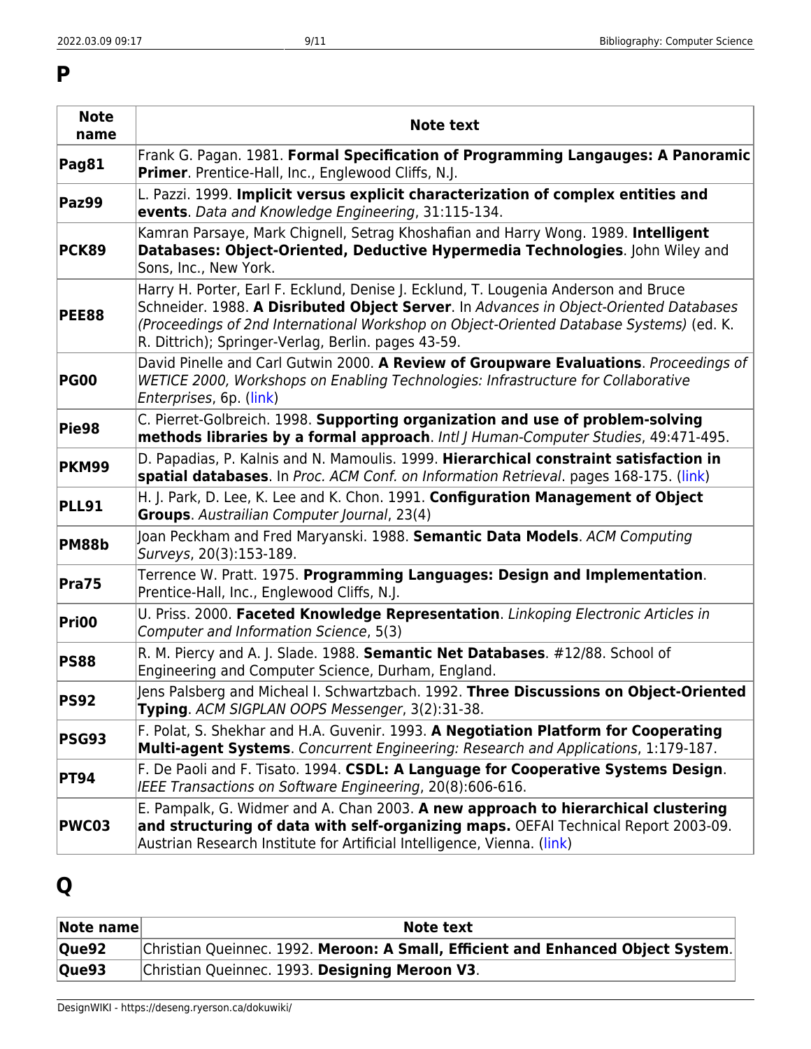#### <span id="page-10-0"></span>**P**

| <b>Note</b><br>name | <b>Note text</b>                                                                                                                                                                                                                                                                                                               |
|---------------------|--------------------------------------------------------------------------------------------------------------------------------------------------------------------------------------------------------------------------------------------------------------------------------------------------------------------------------|
| Pag81               | Frank G. Pagan. 1981. Formal Specification of Programming Langauges: A Panoramic<br>Primer. Prentice-Hall, Inc., Englewood Cliffs, N.J.                                                                                                                                                                                        |
| Paz99               | L. Pazzi. 1999. Implicit versus explicit characterization of complex entities and<br>events. Data and Knowledge Engineering, 31:115-134.                                                                                                                                                                                       |
| <b>PCK89</b>        | Kamran Parsaye, Mark Chignell, Setrag Khoshafian and Harry Wong. 1989. Intelligent<br>Databases: Object-Oriented, Deductive Hypermedia Technologies. John Wiley and<br>Sons, Inc., New York.                                                                                                                                   |
| <b>PEE88</b>        | Harry H. Porter, Earl F. Ecklund, Denise J. Ecklund, T. Lougenia Anderson and Bruce<br>Schneider. 1988. A Disributed Object Server. In Advances in Object-Oriented Databases<br>(Proceedings of 2nd International Workshop on Object-Oriented Database Systems) (ed. K.<br>R. Dittrich); Springer-Verlag, Berlin. pages 43-59. |
| <b>PG00</b>         | David Pinelle and Carl Gutwin 2000. A Review of Groupware Evaluations. Proceedings of<br>WETICE 2000, Workshops on Enabling Technologies: Infrastructure for Collaborative<br>Enterprises, 6p. (link)                                                                                                                          |
| Pie98               | C. Pierret-Golbreich. 1998. Supporting organization and use of problem-solving<br>methods libraries by a formal approach. Intl J Human-Computer Studies, 49:471-495.                                                                                                                                                           |
| <b>PKM99</b>        | D. Papadias, P. Kalnis and N. Mamoulis. 1999. Hierarchical constraint satisfaction in<br>spatial databases. In Proc. ACM Conf. on Information Retrieval. pages 168-175. (link)                                                                                                                                                 |
| <b>PLL91</b>        | H. J. Park, D. Lee, K. Lee and K. Chon. 1991. Configuration Management of Object<br>Groups. Austrailian Computer Journal, 23(4)                                                                                                                                                                                                |
| PM88b               | Joan Peckham and Fred Maryanski. 1988. Semantic Data Models. ACM Computing<br>Surveys, 20(3):153-189.                                                                                                                                                                                                                          |
| <b>Pra75</b>        | Terrence W. Pratt. 1975. Programming Languages: Design and Implementation.<br>Prentice-Hall, Inc., Englewood Cliffs, N.J.                                                                                                                                                                                                      |
| Pri00               | U. Priss. 2000. Faceted Knowledge Representation. Linkoping Electronic Articles in<br>Computer and Information Science, 5(3)                                                                                                                                                                                                   |
| <b>PS88</b>         | R. M. Piercy and A. J. Slade. 1988. Semantic Net Databases. #12/88. School of<br>Engineering and Computer Science, Durham, England.                                                                                                                                                                                            |
| <b>PS92</b>         | Jens Palsberg and Micheal I. Schwartzbach. 1992. Three Discussions on Object-Oriented<br>Typing. ACM SIGPLAN OOPS Messenger, 3(2):31-38.                                                                                                                                                                                       |
| <b>PSG93</b>        | F. Polat, S. Shekhar and H.A. Guvenir. 1993. A Negotiation Platform for Cooperating<br>Multi-agent Systems. Concurrent Engineering: Research and Applications, 1:179-187.                                                                                                                                                      |
| <b>PT94</b>         | F. De Paoli and F. Tisato. 1994. CSDL: A Language for Cooperative Systems Design.<br>IEEE Transactions on Software Engineering, 20(8):606-616.                                                                                                                                                                                 |
| <b>PWC03</b>        | E. Pampalk, G. Widmer and A. Chan 2003. A new approach to hierarchical clustering<br>and structuring of data with self-organizing maps. OEFAI Technical Report 2003-09.<br>Austrian Research Institute for Artificial Intelligence, Vienna. (link)                                                                             |

# <span id="page-10-2"></span><span id="page-10-1"></span>**Q**

<span id="page-10-3"></span>

| Note name       | Note text                                                                        |
|-----------------|----------------------------------------------------------------------------------|
| $\sqrt{Q}$ ue92 | Christian Queinnec. 1992. Meroon: A Small, Efficient and Enhanced Object System. |
| $\sqrt{Q}$ ue93 | Christian Queinnec. 1993. Designing Meroon V3.                                   |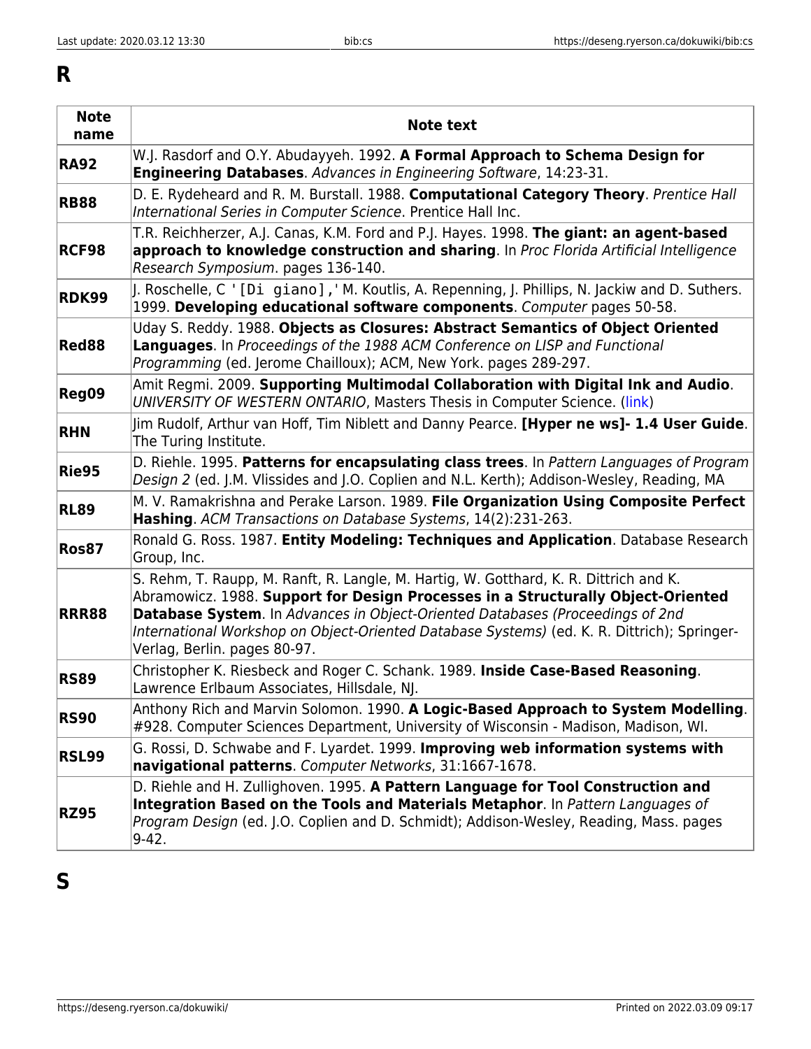#### <span id="page-11-0"></span>**R**

| <b>Note</b><br>name | <b>Note text</b>                                                                                                                                                                                                                                                                                                                                                                                 |
|---------------------|--------------------------------------------------------------------------------------------------------------------------------------------------------------------------------------------------------------------------------------------------------------------------------------------------------------------------------------------------------------------------------------------------|
| <b>RA92</b>         | W.J. Rasdorf and O.Y. Abudayyeh. 1992. A Formal Approach to Schema Design for<br><b>Engineering Databases.</b> Advances in Engineering Software, 14:23-31.                                                                                                                                                                                                                                       |
| <b>RB88</b>         | D. E. Rydeheard and R. M. Burstall. 1988. Computational Category Theory. Prentice Hall<br>International Series in Computer Science. Prentice Hall Inc.                                                                                                                                                                                                                                           |
| <b>RCF98</b>        | T.R. Reichherzer, A.J. Canas, K.M. Ford and P.J. Hayes. 1998. The giant: an agent-based<br>approach to knowledge construction and sharing. In Proc Florida Artificial Intelligence<br>Research Symposium. pages 136-140.                                                                                                                                                                         |
| <b>RDK99</b>        | J. Roschelle, C ' [Di giano], ' M. Koutlis, A. Repenning, J. Phillips, N. Jackiw and D. Suthers.<br>1999. Developing educational software components. Computer pages 50-58.                                                                                                                                                                                                                      |
| Red88               | Uday S. Reddy. 1988. Objects as Closures: Abstract Semantics of Object Oriented<br>Languages. In Proceedings of the 1988 ACM Conference on LISP and Functional<br>Programming (ed. Jerome Chailloux); ACM, New York. pages 289-297.                                                                                                                                                              |
| Reg09               | Amit Regmi. 2009. Supporting Multimodal Collaboration with Digital Ink and Audio.<br>UNIVERSITY OF WESTERN ONTARIO, Masters Thesis in Computer Science. (link)                                                                                                                                                                                                                                   |
| <b>RHN</b>          | Jim Rudolf, Arthur van Hoff, Tim Niblett and Danny Pearce. [Hyper ne ws]- 1.4 User Guide.<br>The Turing Institute.                                                                                                                                                                                                                                                                               |
| Rie95               | D. Riehle. 1995. Patterns for encapsulating class trees. In Pattern Languages of Program<br>Design 2 (ed. J.M. Vlissides and J.O. Coplien and N.L. Kerth); Addison-Wesley, Reading, MA                                                                                                                                                                                                           |
| <b>RL89</b>         | M. V. Ramakrishna and Perake Larson. 1989. File Organization Using Composite Perfect<br>Hashing. ACM Transactions on Database Systems, 14(2):231-263.                                                                                                                                                                                                                                            |
| <b>Ros87</b>        | Ronald G. Ross. 1987. Entity Modeling: Techniques and Application. Database Research<br>Group, Inc.                                                                                                                                                                                                                                                                                              |
| <b>RRR88</b>        | S. Rehm, T. Raupp, M. Ranft, R. Langle, M. Hartig, W. Gotthard, K. R. Dittrich and K.<br>Abramowicz. 1988. Support for Design Processes in a Structurally Object-Oriented<br><b>Database System.</b> In Advances in Object-Oriented Databases (Proceedings of 2nd<br>International Workshop on Object-Oriented Database Systems) (ed. K. R. Dittrich); Springer-<br>Verlag, Berlin. pages 80-97. |
| <b>RS89</b>         | Christopher K. Riesbeck and Roger C. Schank. 1989. Inside Case-Based Reasoning.<br>Lawrence Erlbaum Associates, Hillsdale, NJ.                                                                                                                                                                                                                                                                   |
| <b>RS90</b>         | Anthony Rich and Marvin Solomon. 1990. A Logic-Based Approach to System Modelling.<br>#928. Computer Sciences Department, University of Wisconsin - Madison, Madison, WI.                                                                                                                                                                                                                        |
| <b>RSL99</b>        | G. Rossi, D. Schwabe and F. Lyardet. 1999. Improving web information systems with<br>navigational patterns. Computer Networks, 31:1667-1678.                                                                                                                                                                                                                                                     |
| <b>RZ95</b>         | D. Riehle and H. Zullighoven. 1995. A Pattern Language for Tool Construction and<br>Integration Based on the Tools and Materials Metaphor. In Pattern Languages of<br>Program Design (ed. J.O. Coplien and D. Schmidt); Addison-Wesley, Reading, Mass. pages<br>$9-42.$                                                                                                                          |

## <span id="page-11-3"></span><span id="page-11-2"></span><span id="page-11-1"></span>**S**